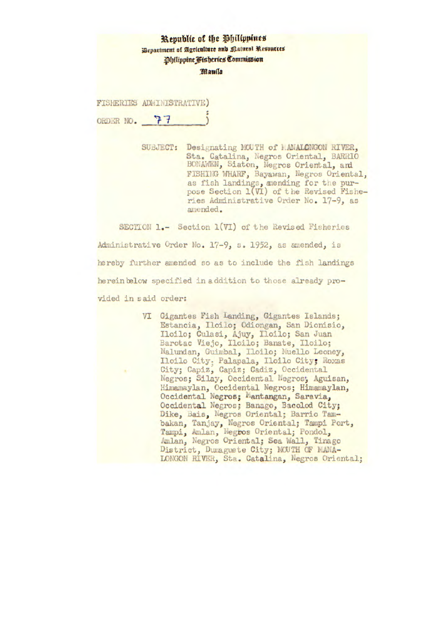|              | Republic of the Philippines<br>Bepartment of Agriculture and Ratural Resources<br><b>Philippine Fisheries Commission</b> |  |
|--------------|--------------------------------------------------------------------------------------------------------------------------|--|
|              | Manila                                                                                                                   |  |
|              | FISHERIES ADMINISTRATIVE)                                                                                                |  |
| ORDER NO. 77 |                                                                                                                          |  |
|              |                                                                                                                          |  |

SUBJECT: Designating MOUTH of MANALCNGON RIVER, Sta. Catalina, Negros Oriental, BARRIO BONAWEN, Siaton, Negros Oriental, and FISHING WHARF, Bayawan, Negros Oriental, as fish landings, mending for the purpose Section 1(VI) of the Revised Fisheries Administrative Order No. 17-9, as amended.

SECTION 1.- Section 1(VI) of the Revised Fisheries Administrative Order No. 17-9, s. 1952, as amended, is hereby further amended so as to include the fish landings herein below specified in addition to those already provided in said order:

> VI Gigantes Fish Landing, Gigantes Islands; Estancia, Ilcilo; Odiongan, San Dionisio, Iloilo; Culasi, Ajuy, Iloilo; San Juan Barotac Viejo, Iloilo; Banate, Iloilo; Nalundan, Guimbal, Iloilo; Muello Leoney, Iloilo City: Palapala, Iloilo City; Roxas City; Capiz, Capiz; Cadiz, Occidental Negros; Silay, Occidental Negros; Aguisan, Himamaylan, Occidental Negros; Himamaylan, Occidental Negros; Mantangan, Saravia, Occidental Negros; Banago, Bacolod City; Dike, Bais, Negros Oriental; Barrio Tambakan, Tanjay, Negros Oriental; Tampi Port, Tampi, Amlan, Negros Oriental; Pondol, Amlan, Negros Oriental; Sea Wall, Tinago District, Dumaguete City; MOUTH OF MANA-LONGON RIVER, Sta. Catalina, Negros Oriental;